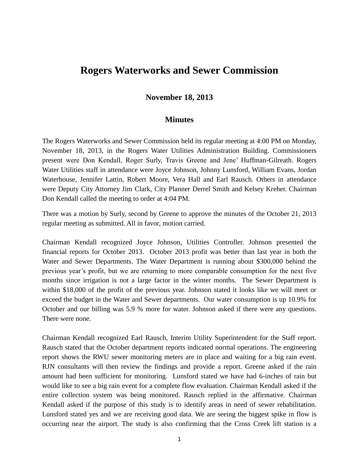## **Rogers Waterworks and Sewer Commission**

## **November 18, 2013**

## **Minutes**

The Rogers Waterworks and Sewer Commission held its regular meeting at 4:00 PM on Monday, November 18, 2013, in the Rogers Water Utilities Administration Building. Commissioners present were Don Kendall, Roger Surly, Travis Greene and Jene' Huffman-Gilreath. Rogers Water Utilities staff in attendance were Joyce Johnson, Johnny Lunsford, William Evans, Jordan Waterhouse, Jennifer Lattin, Robert Moore, Vera Hall and Earl Rausch. Others in attendance were Deputy City Attorney Jim Clark, City Planner Derrel Smith and Kelsey Kreher. Chairman Don Kendall called the meeting to order at 4:04 PM.

There was a motion by Surly, second by Greene to approve the minutes of the October 21, 2013 regular meeting as submitted. All in favor, motion carried.

Chairman Kendall recognized Joyce Johnson, Utilities Controller. Johnson presented the financial reports for October 2013. October 2013 profit was better than last year in both the Water and Sewer Departments. The Water Department is running about \$300,000 behind the previous year's profit, but we are returning to more comparable consumption for the next five months since irrigation is not a large factor in the winter months. The Sewer Department is within \$18,000 of the profit of the previous year. Johnson stated it looks like we will meet or exceed the budget in the Water and Sewer departments. Our water consumption is up 10.9% for October and our billing was 5.9 % more for water. Johnson asked if there were any questions. There were none.

Chairman Kendall recognized Earl Rausch, Interim Utility Superintendent for the Staff report. Rausch stated that the October department reports indicated normal operations. The engineering report shows the RWU sewer monitoring meters are in place and waiting for a big rain event. RJN consultants will then review the findings and provide a report. Greene asked if the rain amount had been sufficient for monitoring. Lunsford stated we have had 6-inches of rain but would like to see a big rain event for a complete flow evaluation. Chairman Kendall asked if the entire collection system was being monitored. Rausch replied in the affirmative. Chairman Kendall asked if the purpose of this study is to identify areas in need of sewer rehabilitation. Lunsford stated yes and we are receiving good data. We are seeing the biggest spike in flow is occurring near the airport. The study is also confirming that the Cross Creek lift station is a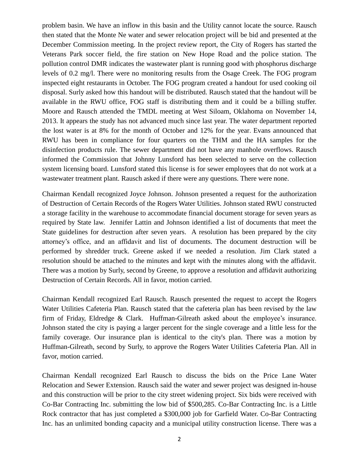problem basin. We have an inflow in this basin and the Utility cannot locate the source. Rausch then stated that the Monte Ne water and sewer relocation project will be bid and presented at the December Commission meeting. In the project review report, the City of Rogers has started the Veterans Park soccer field, the fire station on New Hope Road and the police station. The pollution control DMR indicates the wastewater plant is running good with phosphorus discharge levels of 0.2 mg/l. There were no monitoring results from the Osage Creek. The FOG program inspected eight restaurants in October. The FOG program created a handout for used cooking oil disposal. Surly asked how this handout will be distributed. Rausch stated that the handout will be available in the RWU office, FOG staff is distributing them and it could be a billing stuffer. Moore and Rausch attended the TMDL meeting at West Siloam, Oklahoma on November 14, 2013. It appears the study has not advanced much since last year. The water department reported the lost water is at 8% for the month of October and 12% for the year. Evans announced that RWU has been in compliance for four quarters on the THM and the HA samples for the disinfection products rule. The sewer department did not have any manhole overflows. Rausch informed the Commission that Johnny Lunsford has been selected to serve on the collection system licensing board. Lunsford stated this license is for sewer employees that do not work at a wastewater treatment plant. Rausch asked if there were any questions. There were none.

Chairman Kendall recognized Joyce Johnson. Johnson presented a request for the authorization of Destruction of Certain Records of the Rogers Water Utilities. Johnson stated RWU constructed a storage facility in the warehouse to accommodate financial document storage for seven years as required by State law. Jennifer Lattin and Johnson identified a list of documents that meet the State guidelines for destruction after seven years. A resolution has been prepared by the city attorney's office, and an affidavit and list of documents. The document destruction will be performed by shredder truck. Greene asked if we needed a resolution. Jim Clark stated a resolution should be attached to the minutes and kept with the minutes along with the affidavit. There was a motion by Surly, second by Greene, to approve a resolution and affidavit authorizing Destruction of Certain Records. All in favor, motion carried.

Chairman Kendall recognized Earl Rausch. Rausch presented the request to accept the Rogers Water Utilities Cafeteria Plan. Rausch stated that the cafeteria plan has been revised by the law firm of Friday, Eldredge & Clark. Huffman-Gilreath asked about the employee's insurance. Johnson stated the city is paying a larger percent for the single coverage and a little less for the family coverage. Our insurance plan is identical to the city's plan. There was a motion by Huffman-Gilreath, second by Surly, to approve the Rogers Water Utilities Cafeteria Plan. All in favor, motion carried.

Chairman Kendall recognized Earl Rausch to discuss the bids on the Price Lane Water Relocation and Sewer Extension. Rausch said the water and sewer project was designed in-house and this construction will be prior to the city street widening project. Six bids were received with Co-Bar Contracting Inc. submitting the low bid of \$500,285. Co-Bar Contracting Inc. is a Little Rock contractor that has just completed a \$300,000 job for Garfield Water. Co-Bar Contracting Inc. has an unlimited bonding capacity and a municipal utility construction license. There was a